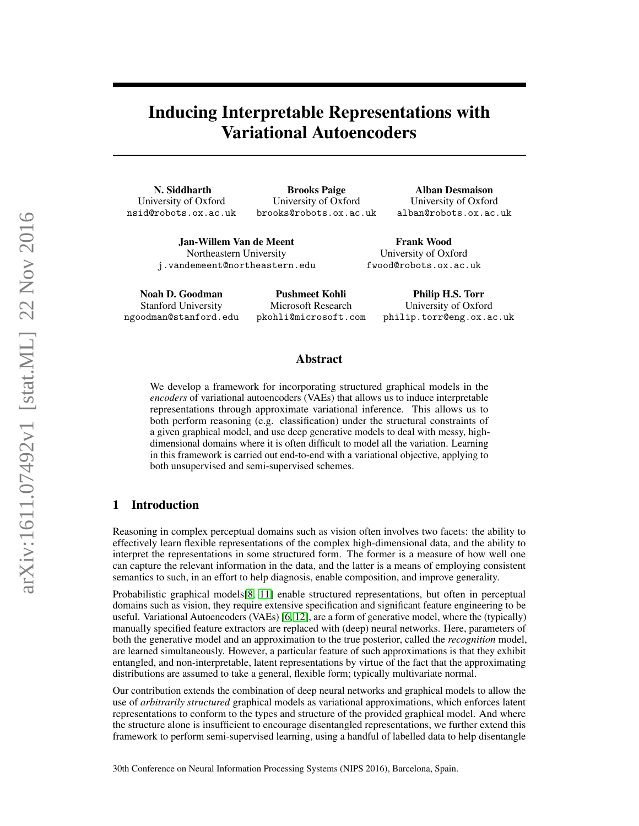# Inducing Interpretable Representations with Variational Autoencoders

N. Siddharth University of Oxford nsid@robots.ox.ac.uk

Brooks Paige University of Oxford brooks@robots.ox.ac.uk

Alban Desmaison University of Oxford alban@robots.ox.ac.uk

Jan-Willem Van de Meent Northeastern University j.vandemeent@northeastern.edu

Frank Wood University of Oxford fwood@robots.ox.ac.uk

Noah D. Goodman Stanford University ngoodman@stanford.edu

Pushmeet Kohli Microsoft Research pkohli@microsoft.com

Philip H.S. Torr University of Oxford philip.torr@eng.ox.ac.uk

## Abstract

We develop a framework for incorporating structured graphical models in the *encoders* of variational autoencoders (VAEs) that allows us to induce interpretable representations through approximate variational inference. This allows us to both perform reasoning (e.g. classification) under the structural constraints of a given graphical model, and use deep generative models to deal with messy, highdimensional domains where it is often difficult to model all the variation. Learning in this framework is carried out end-to-end with a variational objective, applying to both unsupervised and semi-supervised schemes.

# 1 Introduction

Reasoning in complex perceptual domains such as vision often involves two facets: the ability to effectively learn flexible representations of the complex high-dimensional data, and the ability to interpret the representations in some structured form. The former is a measure of how well one can capture the relevant information in the data, and the latter is a means of employing consistent semantics to such, in an effort to help diagnosis, enable composition, and improve generality.

Probabilistic graphical models[\[8,](#page-5-0) [11\]](#page-5-1) enable structured representations, but often in perceptual domains such as vision, they require extensive specification and significant feature engineering to be useful. Variational Autoencoders (VAEs) [\[6,](#page-5-2) [12\]](#page-5-3), are a form of generative model, where the (typically) manually specified feature extractors are replaced with (deep) neural networks. Here, parameters of both the generative model and an approximation to the true posterior, called the *recognition* model, are learned simultaneously. However, a particular feature of such approximations is that they exhibit entangled, and non-interpretable, latent representations by virtue of the fact that the approximating distributions are assumed to take a general, flexible form; typically multivariate normal.

Our contribution extends the combination of deep neural networks and graphical models to allow the use of *arbitrarily structured* graphical models as variational approximations, which enforces latent representations to conform to the types and structure of the provided graphical model. And where the structure alone is insufficient to encourage disentangled representations, we further extend this framework to perform semi-supervised learning, using a handful of labelled data to help disentangle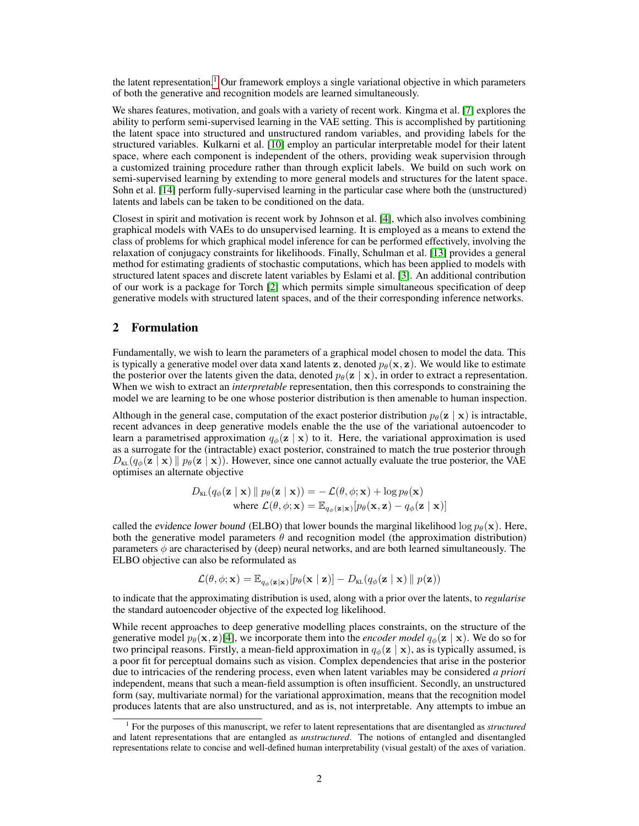the latent representation.<sup>[1](#page-1-0)</sup> Our framework employs a single variational objective in which parameters of both the generative and recognition models are learned simultaneously.

We shares features, motivation, and goals with a variety of recent work. Kingma et al. [\[7\]](#page-5-4) explores the ability to perform semi-supervised learning in the VAE setting. This is accomplished by partitioning the latent space into structured and unstructured random variables, and providing labels for the structured variables. Kulkarni et al. [\[10\]](#page-5-5) employ an particular interpretable model for their latent space, where each component is independent of the others, providing weak supervision through a customized training procedure rather than through explicit labels. We build on such work on semi-supervised learning by extending to more general models and structures for the latent space. Sohn et al. [\[14\]](#page-5-6) perform fully-supervised learning in the particular case where both the (unstructured) latents and labels can be taken to be conditioned on the data.

Closest in spirit and motivation is recent work by Johnson et al. [\[4\]](#page-4-0), which also involves combining graphical models with VAEs to do unsupervised learning. It is employed as a means to extend the class of problems for which graphical model inference for can be performed effectively, involving the relaxation of conjugacy constraints for likelihoods. Finally, Schulman et al. [\[13\]](#page-5-7) provides a general method for estimating gradients of stochastic computations, which has been applied to models with structured latent spaces and discrete latent variables by Eslami et al. [\[3\]](#page-4-1). An additional contribution of our work is a package for Torch [\[2\]](#page-4-2) which permits simple simultaneous specification of deep generative models with structured latent spaces, and of the their corresponding inference networks.

#### 2 Formulation

Fundamentally, we wish to learn the parameters of a graphical model chosen to model the data. This is typically a generative model over data xand latents z, denoted  $p_{\theta}(\mathbf{x}, \mathbf{z})$ . We would like to estimate the posterior over the latents given the data, denoted  $p_{\theta}(\mathbf{z} \mid \mathbf{x})$ , in order to extract a representation. When we wish to extract an *interpretable* representation, then this corresponds to constraining the model we are learning to be one whose posterior distribution is then amenable to human inspection.

Although in the general case, computation of the exact posterior distribution  $p_{\theta}(\mathbf{z} \mid \mathbf{x})$  is intractable, recent advances in deep generative models enable the the use of the variational autoencoder to learn a parametrised approximation  $q_{\phi}(\mathbf{z} \mid \mathbf{x})$  to it. Here, the variational approximation is used as a surrogate for the (intractable) exact posterior, constrained to match the true posterior through  $D_{\text{KL}}(q_{\phi}(\mathbf{z} \mid \mathbf{x}) || p_{\theta}(\mathbf{z} \mid \mathbf{x}))$ . However, since one cannot actually evaluate the true posterior, the VAE optimises an alternate objective

$$
D_{\text{KL}}(q_{\phi}(\mathbf{z} \mid \mathbf{x}) \parallel p_{\theta}(\mathbf{z} \mid \mathbf{x})) = -\mathcal{L}(\theta, \phi; \mathbf{x}) + \log p_{\theta}(\mathbf{x})
$$
  
where  $\mathcal{L}(\theta, \phi; \mathbf{x}) = \mathbb{E}_{q_{\phi}(\mathbf{z} \mid \mathbf{x})}[p_{\theta}(\mathbf{x}, \mathbf{z}) - q_{\phi}(\mathbf{z} \mid \mathbf{x})]$ 

called the evidence lower bound (ELBO) that lower bounds the marginal likelihood log  $p_{\theta}(\mathbf{x})$ . Here, both the generative model parameters  $\theta$  and recognition model (the approximation distribution) parameters  $\phi$  are characterised by (deep) neural networks, and are both learned simultaneously. The ELBO objective can also be reformulated as

$$
\mathcal{L}(\theta, \phi; \mathbf{x}) = \mathbb{E}_{q_{\phi}(\mathbf{z}|\mathbf{x})}[p_{\theta}(\mathbf{x} | \mathbf{z})] - D_{\text{KL}}(q_{\phi}(\mathbf{z} | \mathbf{x}) || p(\mathbf{z}))
$$

to indicate that the approximating distribution is used, along with a prior over the latents, to *regularise* the standard autoencoder objective of the expected log likelihood.

While recent approaches to deep generative modelling places constraints, on the structure of the generative model  $p_{\theta}(\mathbf{x}, \mathbf{z})$ [\[4\]](#page-4-0), we incorporate them into the *encoder model*  $q_{\phi}(\mathbf{z} | \mathbf{x})$ . We do so for two principal reasons. Firstly, a mean-field approximation in  $q_{\phi}(\mathbf{z} \mid \mathbf{x})$ , as is typically assumed, is a poor fit for perceptual domains such as vision. Complex dependencies that arise in the posterior due to intricacies of the rendering process, even when latent variables may be considered *a priori* independent, means that such a mean-field assumption is often insufficient. Secondly, an unstructured form (say, multivariate normal) for the variational approximation, means that the recognition model produces latents that are also unstructured, and as is, not interpretable. Any attempts to imbue an

<span id="page-1-0"></span><sup>1</sup> For the purposes of this manuscript, we refer to latent representations that are disentangled as *structured* and latent representations that are entangled as *unstructured*. The notions of entangled and disentangled representations relate to concise and well-defined human interpretability (visual gestalt) of the axes of variation.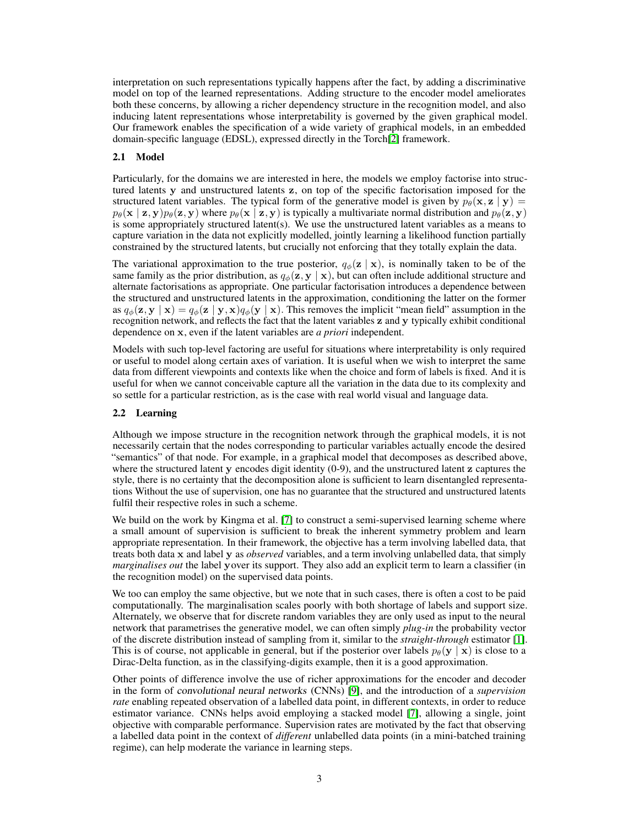interpretation on such representations typically happens after the fact, by adding a discriminative model on top of the learned representations. Adding structure to the encoder model ameliorates both these concerns, by allowing a richer dependency structure in the recognition model, and also inducing latent representations whose interpretability is governed by the given graphical model. Our framework enables the specification of a wide variety of graphical models, in an embedded domain-specific language (EDSL), expressed directly in the Torch[\[2\]](#page-4-2) framework.

#### 2.1 Model

Particularly, for the domains we are interested in here, the models we employ factorise into structured latents y and unstructured latents z, on top of the specific factorisation imposed for the structured latent variables. The typical form of the generative model is given by  $p_\theta(\mathbf{x}, \mathbf{z} \mid \mathbf{y}) =$  $p_{\theta}(\mathbf{x} \mid \mathbf{z}, \mathbf{y}) p_{\theta}(\mathbf{z}, \mathbf{y})$  where  $p_{\theta}(\mathbf{x} \mid \mathbf{z}, \mathbf{y})$  is typically a multivariate normal distribution and  $p_{\theta}(\mathbf{z}, \mathbf{y})$ is some appropriately structured latent(s). We use the unstructured latent variables as a means to capture variation in the data not explicitly modelled, jointly learning a likelihood function partially constrained by the structured latents, but crucially not enforcing that they totally explain the data.

The variational approximation to the true posterior,  $q_{\phi}(\mathbf{z} | \mathbf{x})$ , is nominally taken to be of the same family as the prior distribution, as  $q_{\phi}(\mathbf{z}, \mathbf{y} | \mathbf{x})$ , but can often include additional structure and alternate factorisations as appropriate. One particular factorisation introduces a dependence between the structured and unstructured latents in the approximation, conditioning the latter on the former as  $q_{\phi}(\mathbf{z}, \mathbf{y} | \mathbf{x}) = q_{\phi}(\mathbf{z} | \mathbf{y}, \mathbf{x}) q_{\phi}(\mathbf{y} | \mathbf{x})$ . This removes the implicit "mean field" assumption in the recognition network, and reflects the fact that the latent variables z and y typically exhibit conditional dependence on x, even if the latent variables are *a priori* independent.

Models with such top-level factoring are useful for situations where interpretability is only required or useful to model along certain axes of variation. It is useful when we wish to interpret the same data from different viewpoints and contexts like when the choice and form of labels is fixed. And it is useful for when we cannot conceivable capture all the variation in the data due to its complexity and so settle for a particular restriction, as is the case with real world visual and language data.

#### <span id="page-2-0"></span>2.2 Learning

Although we impose structure in the recognition network through the graphical models, it is not necessarily certain that the nodes corresponding to particular variables actually encode the desired "semantics" of that node. For example, in a graphical model that decomposes as described above, where the structured latent y encodes digit identity (0-9), and the unstructured latent z captures the style, there is no certainty that the decomposition alone is sufficient to learn disentangled representations Without the use of supervision, one has no guarantee that the structured and unstructured latents fulfil their respective roles in such a scheme.

We build on the work by Kingma et al. [\[7\]](#page-5-4) to construct a semi-supervised learning scheme where a small amount of supervision is sufficient to break the inherent symmetry problem and learn appropriate representation. In their framework, the objective has a term involving labelled data, that treats both data x and label y as *observed* variables, and a term involving unlabelled data, that simply *marginalises out* the label yover its support. They also add an explicit term to learn a classifier (in the recognition model) on the supervised data points.

We too can employ the same objective, but we note that in such cases, there is often a cost to be paid computationally. The marginalisation scales poorly with both shortage of labels and support size. Alternately, we observe that for discrete random variables they are only used as input to the neural network that parametrises the generative model, we can often simply *plug-in* the probability vector of the discrete distribution instead of sampling from it, similar to the *straight-through* estimator [\[1\]](#page-4-3). This is of course, not applicable in general, but if the posterior over labels  $p_{\theta}(\mathbf{y} \mid \mathbf{x})$  is close to a Dirac-Delta function, as in the classifying-digits example, then it is a good approximation.

Other points of difference involve the use of richer approximations for the encoder and decoder in the form of convolutional neural networks (CNNs) [\[9\]](#page-5-8), and the introduction of a *supervision rate* enabling repeated observation of a labelled data point, in different contexts, in order to reduce estimator variance. CNNs helps avoid employing a stacked model [\[7\]](#page-5-4), allowing a single, joint objective with comparable performance. Supervision rates are motivated by the fact that observing a labelled data point in the context of *different* unlabelled data points (in a mini-batched training regime), can help moderate the variance in learning steps.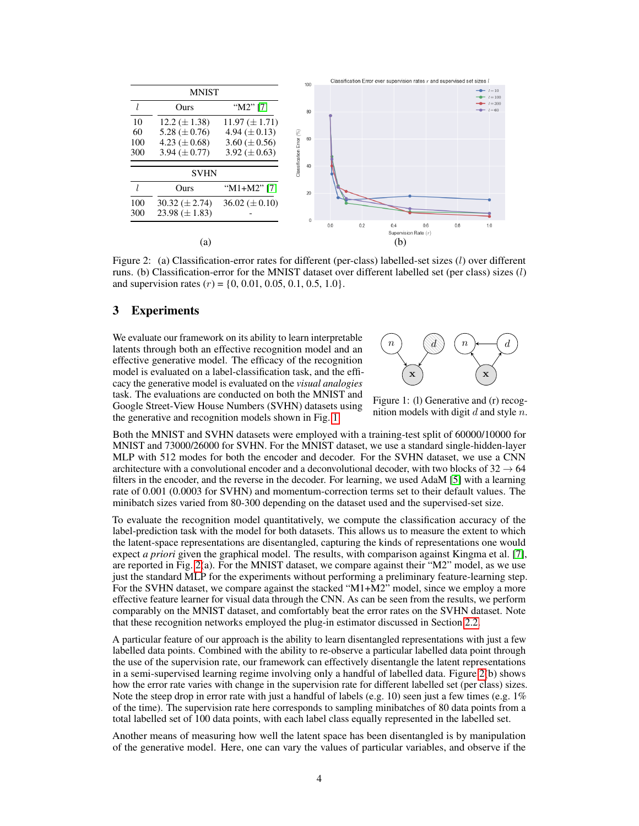

<span id="page-3-1"></span>Figure 2: (a) Classification-error rates for different (per-class) labelled-set sizes (l) over different runs. (b) Classification-error for the MNIST dataset over different labelled set (per class) sizes  $(l)$ and supervision rates  $(r) = \{0, 0.01, 0.05, 0.1, 0.5, 1.0\}.$ 

## 3 Experiments

We evaluate our framework on its ability to learn interpretable latents through both an effective recognition model and an effective generative model. The efficacy of the recognition model is evaluated on a label-classification task, and the efficacy the generative model is evaluated on the *visual analogies* task. The evaluations are conducted on both the MNIST and Google Street-View House Numbers (SVHN) datasets using the generative and recognition models shown in Fig. [1.](#page-3-0)



<span id="page-3-0"></span>Figure 1: (l) Generative and (r) recognition models with digit  $d$  and style  $n$ .

Both the MNIST and SVHN datasets were employed with a training-test split of 60000/10000 for MNIST and 73000/26000 for SVHN. For the MNIST dataset, we use a standard single-hidden-layer MLP with 512 modes for both the encoder and decoder. For the SVHN dataset, we use a CNN architecture with a convolutional encoder and a deconvolutional decoder, with two blocks of  $32 \rightarrow 64$ filters in the encoder, and the reverse in the decoder. For learning, we used AdaM [\[5\]](#page-5-9) with a learning rate of 0.001 (0.0003 for SVHN) and momentum-correction terms set to their default values. The minibatch sizes varied from 80-300 depending on the dataset used and the supervised-set size.

To evaluate the recognition model quantitatively, we compute the classification accuracy of the label-prediction task with the model for both datasets. This allows us to measure the extent to which the latent-space representations are disentangled, capturing the kinds of representations one would expect *a priori* given the graphical model. The results, with comparison against Kingma et al. [\[7\]](#page-5-4), are reported in Fig. [2\(](#page-3-1)a). For the MNIST dataset, we compare against their "M2" model, as we use just the standard MLP for the experiments without performing a preliminary feature-learning step. For the SVHN dataset, we compare against the stacked "M1+M2" model, since we employ a more effective feature learner for visual data through the CNN. As can be seen from the results, we perform comparably on the MNIST dataset, and comfortably beat the error rates on the SVHN dataset. Note that these recognition networks employed the plug-in estimator discussed in Section [2.2.](#page-2-0)

A particular feature of our approach is the ability to learn disentangled representations with just a few labelled data points. Combined with the ability to re-observe a particular labelled data point through the use of the supervision rate, our framework can effectively disentangle the latent representations in a semi-supervised learning regime involving only a handful of labelled data. Figure [2\(](#page-3-1)b) shows how the error rate varies with change in the supervision rate for different labelled set (per class) sizes. Note the steep drop in error rate with just a handful of labels (e.g. 10) seen just a few times (e.g. 1%) of the time). The supervision rate here corresponds to sampling minibatches of 80 data points from a total labelled set of 100 data points, with each label class equally represented in the labelled set.

Another means of measuring how well the latent space has been disentangled is by manipulation of the generative model. Here, one can vary the values of particular variables, and observe if the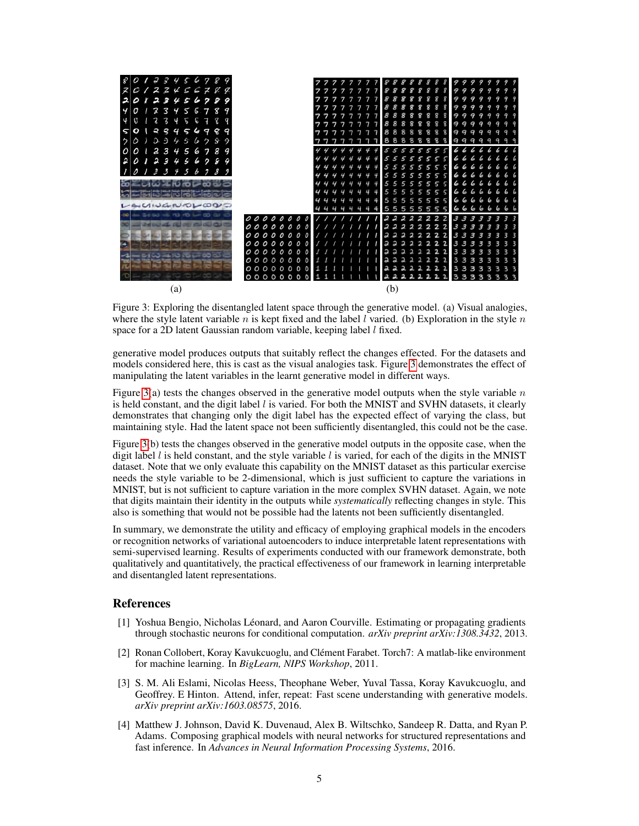

<span id="page-4-4"></span>Figure 3: Exploring the disentangled latent space through the generative model. (a) Visual analogies, where the style latent variable n is kept fixed and the label l varied. (b) Exploration in the style n space for a 2D latent Gaussian random variable, keeping label *l* fixed.

generative model produces outputs that suitably reflect the changes effected. For the datasets and models considered here, this is cast as the visual analogies task. Figure [3](#page-4-4) demonstrates the effect of manipulating the latent variables in the learnt generative model in different ways.

Figure [3\(](#page-4-4)a) tests the changes observed in the generative model outputs when the style variable  $n$ is held constant, and the digit label  $l$  is varied. For both the MNIST and SVHN datasets, it clearly demonstrates that changing only the digit label has the expected effect of varying the class, but maintaining style. Had the latent space not been sufficiently disentangled, this could not be the case.

Figure [3\(](#page-4-4)b) tests the changes observed in the generative model outputs in the opposite case, when the digit label  $l$  is held constant, and the style variable  $l$  is varied, for each of the digits in the MNIST dataset. Note that we only evaluate this capability on the MNIST dataset as this particular exercise needs the style variable to be 2-dimensional, which is just sufficient to capture the variations in MNIST, but is not sufficient to capture variation in the more complex SVHN dataset. Again, we note that digits maintain their identity in the outputs while *systematically* reflecting changes in style. This also is something that would not be possible had the latents not been sufficiently disentangled.

In summary, we demonstrate the utility and efficacy of employing graphical models in the encoders or recognition networks of variational autoencoders to induce interpretable latent representations with semi-supervised learning. Results of experiments conducted with our framework demonstrate, both qualitatively and quantitatively, the practical effectiveness of our framework in learning interpretable and disentangled latent representations.

#### References

- <span id="page-4-3"></span>[1] Yoshua Bengio, Nicholas Léonard, and Aaron Courville. Estimating or propagating gradients through stochastic neurons for conditional computation. *arXiv preprint arXiv:1308.3432*, 2013.
- <span id="page-4-2"></span>[2] Ronan Collobert, Koray Kavukcuoglu, and Clément Farabet. Torch7: A matlab-like environment for machine learning. In *BigLearn, NIPS Workshop*, 2011.
- <span id="page-4-1"></span>[3] S. M. Ali Eslami, Nicolas Heess, Theophane Weber, Yuval Tassa, Koray Kavukcuoglu, and Geoffrey. E Hinton. Attend, infer, repeat: Fast scene understanding with generative models. *arXiv preprint arXiv:1603.08575*, 2016.
- <span id="page-4-0"></span>[4] Matthew J. Johnson, David K. Duvenaud, Alex B. Wiltschko, Sandeep R. Datta, and Ryan P. Adams. Composing graphical models with neural networks for structured representations and fast inference. In *Advances in Neural Information Processing Systems*, 2016.